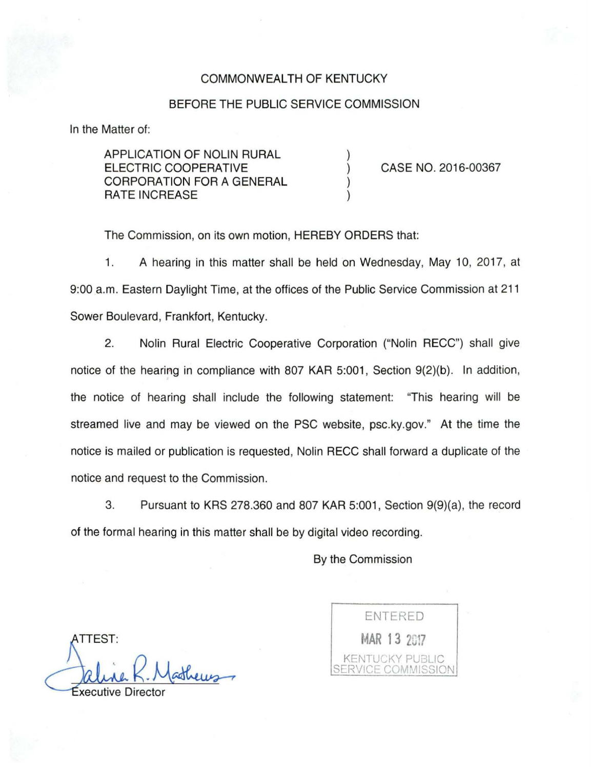## COMMONWEALTH OF KENTUCKY

## BEFORE THE PUBLIC SERVICE COMMISSION

) ) ) )

In the Matter of:

APPLICATION OF NOLIN RURAL ELECTRIC COOPERATIVE CORPORATION FOR A GENERAL RATE INCREASE

CASE NO. 2016-00367

The Commission, on its own motion, HEREBY ORDERS that:

1. A hearing in this matter shall be held on Wednesday, May 10, 2017, at 9:00a.m. Eastern Daylight Time, at the offices of the Public Service Commission at 211 Sower Boulevard, Frankfort, Kentucky.

2. Nolin Rural Electric Cooperative Corporation ("Nolin RECC") shall give notice of the hearing in compliance with 807 KAR 5:001, Section  $9(2)(b)$ . In addition, the notice of hearing shall include the following statement: "This hearing will be streamed live and may be viewed on the PSC website, psc.ky.gov." At the time the notice is mailed or publication is requested, Nolin RECC shall forward a duplicate of the notice and request to the Commission.

3. Pursuant to KRS 278.360 and 807 KAR 5:001 , Section 9(9)(a), the record of the formal hearing in this matter shall be by digital video recording.

By the Commission

ATTEST:

**Executive Director** 

ENTERED **MAR 13 2017** KENTUCKY PUBLIC SERVICE COMMISSION